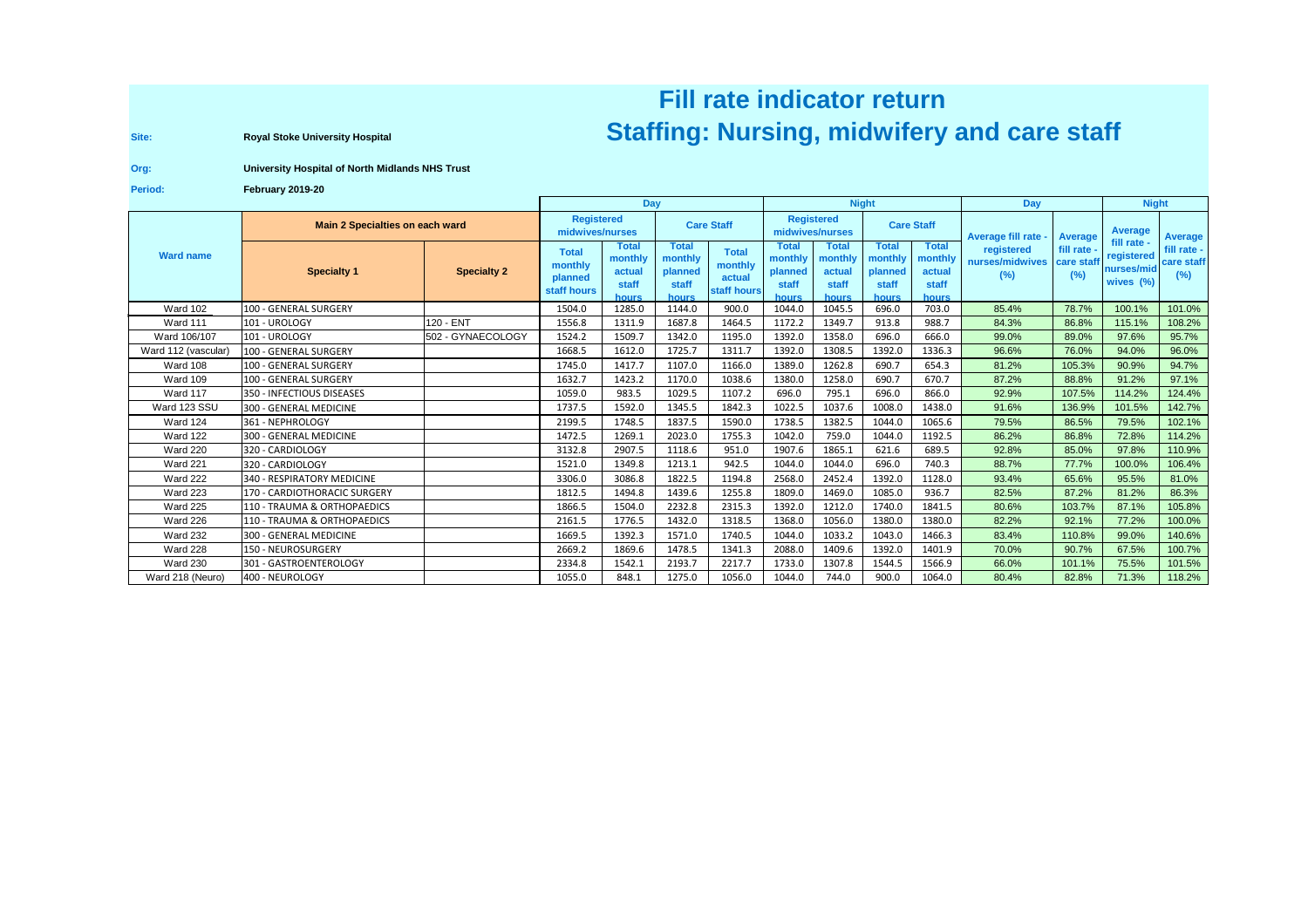## **Fill rate indicator returnRoyal Stoke University Hospital Region Concepts and Care Staff** (Nursing, midwifery and care staff

**Site:**

## **Org:University Hospital of North Midlands NHS Trust**

**Period:February 2019-20**

|                     |                                 |                    | Day                                               |                                                     |                                               |                                                  | <b>Night</b>                                         |                                                     |                                               |                                                     | Day                                  |                               | <b>Night</b>                                         |                                  |
|---------------------|---------------------------------|--------------------|---------------------------------------------------|-----------------------------------------------------|-----------------------------------------------|--------------------------------------------------|------------------------------------------------------|-----------------------------------------------------|-----------------------------------------------|-----------------------------------------------------|--------------------------------------|-------------------------------|------------------------------------------------------|----------------------------------|
| <b>Ward name</b>    | Main 2 Specialties on each ward |                    | <b>Registered</b><br>midwives/nurses              |                                                     | <b>Care Staff</b>                             |                                                  | <b>Registered</b><br>midwives/nurses                 |                                                     | <b>Care Staff</b>                             |                                                     | Average fill rate -                  | <b>Average</b>                | Average                                              | Average                          |
|                     | <b>Specialty 1</b>              | <b>Specialty 2</b> | <b>Total</b><br>monthly<br>planned<br>staff hours | <b>Total</b><br>monthly<br>actual<br>staff<br>hours | Total<br>monthly<br>planned<br>staff<br>hours | <b>Total</b><br>monthly<br>actual<br>staff hours | <b>Total</b><br>monthly<br>planned<br>staff<br>hours | <b>Total</b><br>monthly<br>actual<br>staff<br>hours | Total<br>monthly<br>planned<br>staff<br>hours | <b>Total</b><br>monthly<br>actual<br>staff<br>hours | registered<br>nurses/midwives<br>(%) | fill rate<br>care stat<br>(%) | fill rate -<br>registered<br>nurses/mic<br>wives (%) | fill rate -<br>care staff<br>(%) |
| <b>Ward 102</b>     | 100 - GENERAL SURGERY           |                    | 1504.0                                            | 1285.0                                              | 1144.0                                        | 900.0                                            | 1044.0                                               | 1045.5                                              | 696.0                                         | 703.0                                               | 85.4%                                | 78.7%                         | 100.1%                                               | 101.0%                           |
| <b>Ward 111</b>     | 101 - UROLOGY                   | 120 - ENT          | 1556.8                                            | 1311.9                                              | 1687.8                                        | 1464.5                                           | 1172.2                                               | 1349.7                                              | 913.8                                         | 988.7                                               | 84.3%                                | 86.8%                         | 115.1%                                               | 108.2%                           |
| Ward 106/107        | 101 - UROLOGY                   | 502 - GYNAECOLOGY  | 1524.2                                            | 1509.7                                              | 1342.0                                        | 1195.0                                           | 1392.0                                               | 1358.0                                              | 696.0                                         | 666.0                                               | 99.0%                                | 89.0%                         | 97.6%                                                | 95.7%                            |
| Ward 112 (vascular) | 100 - GENERAL SURGERY           |                    | 1668.5                                            | 1612.0                                              | 1725.7                                        | 1311.7                                           | 1392.0                                               | 1308.5                                              | 1392.0                                        | 1336.3                                              | 96.6%                                | 76.0%                         | 94.0%                                                | 96.0%                            |
| Ward 108            | 100 - GENERAL SURGERY           |                    | 1745.0                                            | 1417.7                                              | 1107.0                                        | 1166.0                                           | 1389.0                                               | 1262.8                                              | 690.7                                         | 654.3                                               | 81.2%                                | 105.3%                        | 90.9%                                                | 94.7%                            |
| <b>Ward 109</b>     | 100 - GENERAL SURGERY           |                    | 1632.7                                            | 1423.2                                              | 1170.0                                        | 1038.6                                           | 1380.0                                               | 1258.0                                              | 690.7                                         | 670.7                                               | 87.2%                                | 88.8%                         | 91.2%                                                | 97.1%                            |
| Ward 117            | 350 - INFECTIOUS DISEASES       |                    | 1059.0                                            | 983.5                                               | 1029.5                                        | 1107.2                                           | 696.0                                                | 795.1                                               | 696.0                                         | 866.0                                               | 92.9%                                | 107.5%                        | 114.2%                                               | 124.4%                           |
| Ward 123 SSU        | 300 - GENERAL MEDICINE          |                    | 1737.5                                            | 1592.0                                              | 1345.5                                        | 1842.3                                           | 1022.5                                               | 1037.6                                              | 1008.0                                        | 1438.0                                              | 91.6%                                | 136.9%                        | 101.5%                                               | 142.7%                           |
| Ward 124            | 361 - NEPHROLOGY                |                    | 2199.5                                            | 1748.5                                              | 1837.5                                        | 1590.0                                           | 1738.5                                               | 1382.5                                              | 1044.0                                        | 1065.6                                              | 79.5%                                | 86.5%                         | 79.5%                                                | 102.1%                           |
| Ward 122            | 300 - GENERAL MEDICINE          |                    | 1472.5                                            | 1269.1                                              | 2023.0                                        | 1755.3                                           | 1042.0                                               | 759.0                                               | 1044.0                                        | 1192.5                                              | 86.2%                                | 86.8%                         | 72.8%                                                | 114.2%                           |
| <b>Ward 220</b>     | 320 - CARDIOLOGY                |                    | 3132.8                                            | 2907.5                                              | 1118.6                                        | 951.0                                            | 1907.6                                               | 1865.1                                              | 621.6                                         | 689.5                                               | 92.8%                                | 85.0%                         | 97.8%                                                | 110.9%                           |
| Ward 221            | 320 - CARDIOLOGY                |                    | 1521.0                                            | 1349.8                                              | 1213.1                                        | 942.5                                            | 1044.0                                               | 1044.0                                              | 696.0                                         | 740.3                                               | 88.7%                                | 77.7%                         | 100.0%                                               | 106.4%                           |
| Ward 222            | 340 - RESPIRATORY MEDICINE      |                    | 3306.0                                            | 3086.8                                              | 1822.5                                        | 1194.8                                           | 2568.0                                               | 2452.4                                              | 1392.0                                        | 1128.0                                              | 93.4%                                | 65.6%                         | 95.5%                                                | 81.0%                            |
| <b>Ward 223</b>     | 170 - CARDIOTHORACIC SURGERY    |                    | 1812.5                                            | 1494.8                                              | 1439.6                                        | 1255.8                                           | 1809.0                                               | 1469.0                                              | 1085.0                                        | 936.7                                               | 82.5%                                | 87.2%                         | 81.2%                                                | 86.3%                            |
| <b>Ward 225</b>     | 110 - TRAUMA & ORTHOPAEDICS     |                    | 1866.5                                            | 1504.0                                              | 2232.8                                        | 2315.3                                           | 1392.0                                               | 1212.0                                              | 1740.0                                        | 1841.5                                              | 80.6%                                | 103.7%                        | 87.1%                                                | 105.8%                           |
| Ward 226            | 110 - TRAUMA & ORTHOPAEDICS     |                    | 2161.5                                            | 1776.5                                              | 1432.0                                        | 1318.5                                           | 1368.0                                               | 1056.0                                              | 1380.0                                        | 1380.0                                              | 82.2%                                | 92.1%                         | 77.2%                                                | 100.0%                           |
| <b>Ward 232</b>     | 300 - GENERAL MEDICINE          |                    | 1669.5                                            | 1392.3                                              | 1571.0                                        | 1740.5                                           | 1044.0                                               | 1033.2                                              | 1043.0                                        | 1466.3                                              | 83.4%                                | 110.8%                        | 99.0%                                                | 140.6%                           |
| Ward 228            | 150 - NEUROSURGERY              |                    | 2669.2                                            | 1869.6                                              | 1478.5                                        | 1341.3                                           | 2088.0                                               | 1409.6                                              | 1392.0                                        | 1401.9                                              | 70.0%                                | 90.7%                         | 67.5%                                                | 100.7%                           |
| <b>Ward 230</b>     | 301 - GASTROENTEROLOGY          |                    | 2334.8                                            | 1542.1                                              | 2193.7                                        | 2217.7                                           | 1733.0                                               | 1307.8                                              | 1544.5                                        | 1566.9                                              | 66.0%                                | 101.1%                        | 75.5%                                                | 101.5%                           |
| Ward 218 (Neuro)    | 400 - NEUROLOGY                 |                    | 1055.0                                            | 848.1                                               | 1275.0                                        | 1056.0                                           | 1044.0                                               | 744.0                                               | 900.0                                         | 1064.0                                              | 80.4%                                | 82.8%                         | 71.3%                                                | 118.2%                           |